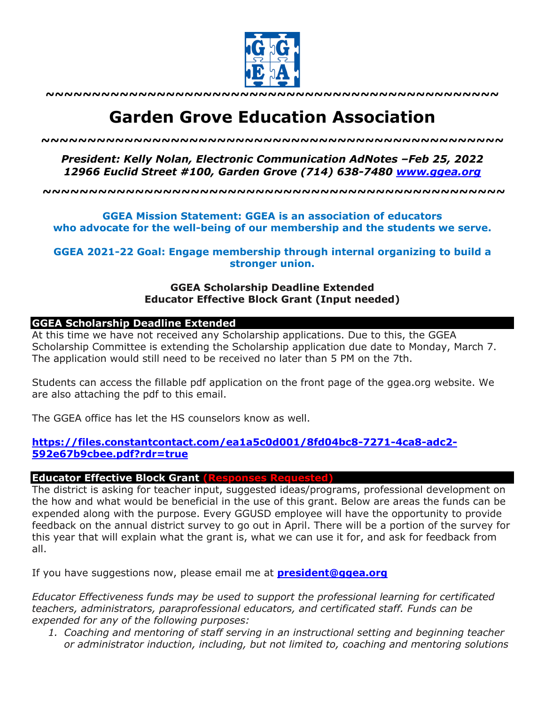

**~~~~~~~~~~~~~~~~~~~~~~~~~~~~~~~~~~~~~~~~~~~~~~~~~**

# **Garden Grove Education Association**

*~~~~~~~~~~~~~~~~~~~~~~~~~~~~~~~~~~~~~~~~~~~~~~~~~~*

*President: Kelly Nolan, Electronic Communication AdNotes –Feb 25, 2022 12966 Euclid Street #100, Garden Grove (714) 638-7480 www.ggea.org*

**~~~~~~~~~~~~~~~~~~~~~~~~~~~~~~~~~~~~~~~~~~~~~~~~~~**

**GGEA Mission Statement: GGEA is an association of educators who advocate for the well-being of our membership and the students we serve.**

**GGEA 2021-22 Goal: Engage membership through internal organizing to build a stronger union.**

### **GGEA Scholarship Deadline Extended Educator Effective Block Grant (Input needed)**

#### **GGEA Scholarship Deadline Extended**

At this time we have not received any Scholarship applications. Due to this, the GGEA Scholarship Committee is extending the Scholarship application due date to Monday, March 7. The application would still need to be received no later than 5 PM on the 7th.

Students can access the fillable pdf application on the front page of the ggea.org website. We are also attaching the pdf to this email.

The GGEA office has let the HS counselors know as well.

#### **https://files.constantcontact.com/ea1a5c0d001/8fd04bc8-7271-4ca8-adc2- 592e67b9cbee.pdf?rdr=true**

#### **Educator Effective Block Grant (Responses Requested)**

The district is asking for teacher input, suggested ideas/programs, professional development on the how and what would be beneficial in the use of this grant. Below are areas the funds can be expended along with the purpose. Every GGUSD employee will have the opportunity to provide feedback on the annual district survey to go out in April. There will be a portion of the survey for this year that will explain what the grant is, what we can use it for, and ask for feedback from all.

If you have suggestions now, please email me at **president@ggea.org**

*Educator Effectiveness funds may be used to support the professional learning for certificated teachers, administrators, paraprofessional educators, and certificated staff. Funds can be expended for any of the following purposes:*

*1. Coaching and mentoring of staff serving in an instructional setting and beginning teacher or administrator induction, including, but not limited to, coaching and mentoring solutions*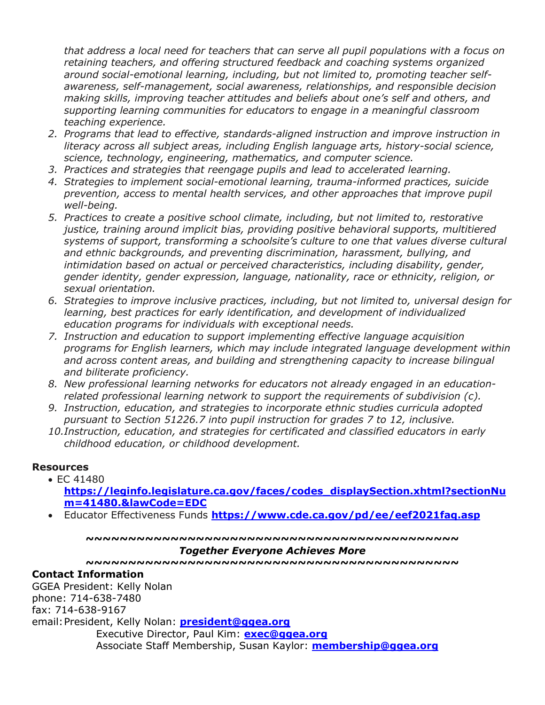*that address a local need for teachers that can serve all pupil populations with a focus on retaining teachers, and offering structured feedback and coaching systems organized around social-emotional learning, including, but not limited to, promoting teacher selfawareness, self-management, social awareness, relationships, and responsible decision making skills, improving teacher attitudes and beliefs about one's self and others, and supporting learning communities for educators to engage in a meaningful classroom teaching experience.*

- *2. Programs that lead to effective, standards-aligned instruction and improve instruction in literacy across all subject areas, including English language arts, history-social science, science, technology, engineering, mathematics, and computer science.*
- *3. Practices and strategies that reengage pupils and lead to accelerated learning.*
- *4. Strategies to implement social-emotional learning, trauma-informed practices, suicide prevention, access to mental health services, and other approaches that improve pupil well-being.*
- *5. Practices to create a positive school climate, including, but not limited to, restorative justice, training around implicit bias, providing positive behavioral supports, multitiered systems of support, transforming a schoolsite's culture to one that values diverse cultural and ethnic backgrounds, and preventing discrimination, harassment, bullying, and intimidation based on actual or perceived characteristics, including disability, gender, gender identity, gender expression, language, nationality, race or ethnicity, religion, or sexual orientation.*
- *6. Strategies to improve inclusive practices, including, but not limited to, universal design for learning, best practices for early identification, and development of individualized education programs for individuals with exceptional needs.*
- *7. Instruction and education to support implementing effective language acquisition programs for English learners, which may include integrated language development within and across content areas, and building and strengthening capacity to increase bilingual and biliterate proficiency.*
- *8. New professional learning networks for educators not already engaged in an educationrelated professional learning network to support the requirements of subdivision (c).*
- *9. Instruction, education, and strategies to incorporate ethnic studies curricula adopted pursuant to Section 51226.7 into pupil instruction for grades 7 to 12, inclusive.*
- *10.Instruction, education, and strategies for certificated and classified educators in early childhood education, or childhood development.*

## **Resources**

• EC 41480

**https://leginfo.legislature.ca.gov/faces/codes\_displaySection.xhtml?sectionNu m=41480.&lawCode=EDC**

• Educator Effectiveness Funds **https://www.cde.ca.gov/pd/ee/eef2021faq.asp**

**~~~~~~~~~~~~~~~~~~~~~~~~~~~~~~~~~~~~~~~~~~~~**

#### *Together Everyone Achieves More*

**~~~~~~~~~~~~~~~~~~~~~~~~~~~~~~~~~~~~~~~~~~~~**

#### **Contact Information**

GGEA President: Kelly Nolan phone: 714-638-7480 fax: 714-638-9167 email:President, Kelly Nolan: **president@ggea.org** Executive Director, Paul Kim: **exec@ggea.org** Associate Staff Membership, Susan Kaylor: **membership@ggea.org**